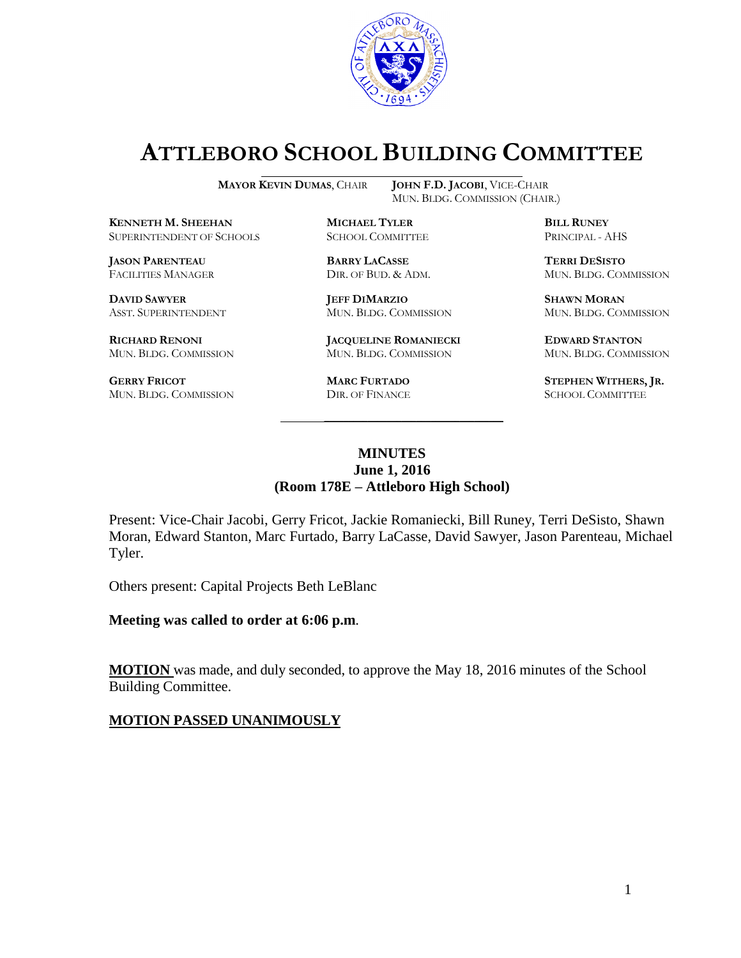

# **ATTLEBORO SCHOOL BUILDING COMMITTEE**

MUN. BLDG. COMMISSION (CHAIR.)

**MAYOR KEVIN DUMAS**, CHAIR **JOHN F.D. JACOBI**, VICE-CHAIR

**KENNETH M. SHEEHAN MICHAEL TYLER BILL RUNEY** SUPERINTENDENT OF SCHOOLS SCHOOL COMMITTEE PRINCIPAL - AHS

**JASON PARENTEAU BARRY LACASSE TERRI DESISTO**

**GERRY FRICOT MARC FURTADO STEPHEN WITHERS, JR.** MUN. BLDG. COMMISSION DIR. OF FINANCE SCHOOL COMMITTEE MUN. BLDG. COMMISSION

**DAVID SAWYER JEFF DIMARZIO SHAWN MORAN** ASST. SUPERINTENDENT MUN. BLDG. COMMISSION MUN. BLDG. COMMISSION

**RICHARD RENONI JACQUELINE ROMANIECKI EDWARD STANTON** MUN. BLDG. COMMISSION MUN. BLDG. COMMISSION MUN. BLDG. COMMISSION

FACILITIES MANAGER DIR. OF BUD. & ADM. MUN. BLDG. COMMISSION

#### **MINUTES June 1, 2016 (Room 178E – Attleboro High School)**

\_\_\_\_\_\_\_\_\_\_\_\_\_\_\_\_\_\_\_\_\_\_\_\_\_\_\_\_\_\_\_\_\_\_\_\_\_

Present: Vice-Chair Jacobi, Gerry Fricot, Jackie Romaniecki, Bill Runey, Terri DeSisto, Shawn Moran, Edward Stanton, Marc Furtado, Barry LaCasse, David Sawyer, Jason Parenteau, Michael Tyler.

Others present: Capital Projects Beth LeBlanc

**Meeting was called to order at 6:06 p.m**.

**MOTION** was made, and duly seconded, to approve the May 18, 2016 minutes of the School Building Committee.

#### **MOTION PASSED UNANIMOUSLY**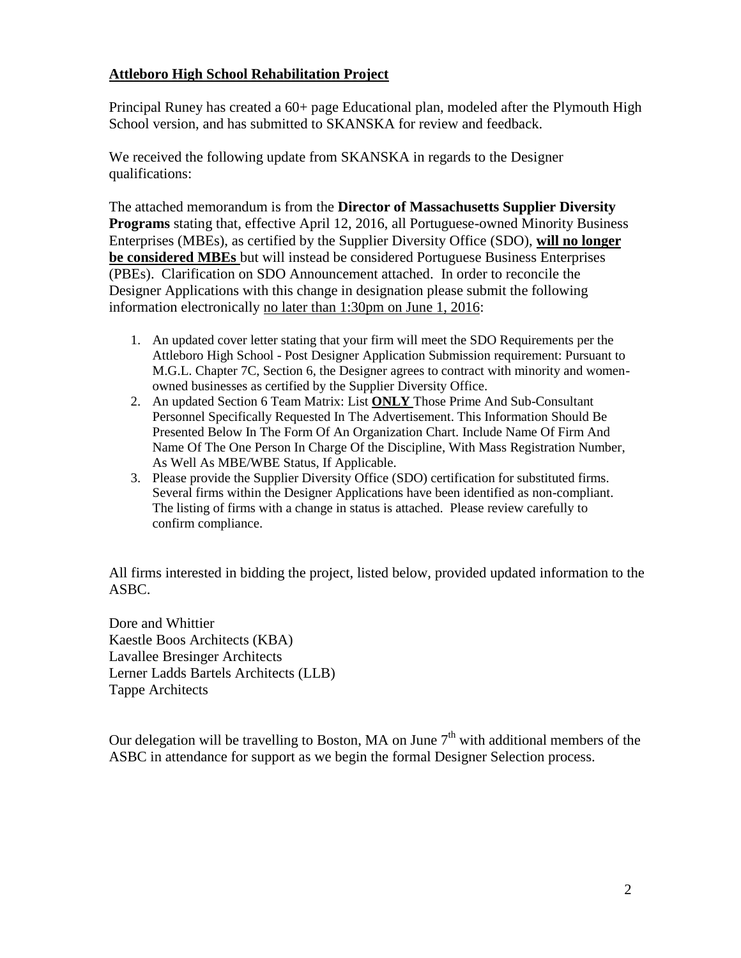#### **Attleboro High School Rehabilitation Project**

Principal Runey has created a 60+ page Educational plan, modeled after the Plymouth High School version, and has submitted to SKANSKA for review and feedback.

We received the following update from SKANSKA in regards to the Designer qualifications:

The attached memorandum is from the **Director of Massachusetts Supplier Diversity Programs** stating that, effective April 12, 2016, all Portuguese-owned Minority Business Enterprises (MBEs), as certified by the Supplier Diversity Office (SDO), **will no longer be considered MBEs** but will instead be considered Portuguese Business Enterprises (PBEs). Clarification on SDO Announcement attached. In order to reconcile the Designer Applications with this change in designation please submit the following information electronically no later than 1:30pm on June 1, 2016:

- 1. An updated cover letter stating that your firm will meet the SDO Requirements per the Attleboro High School - Post Designer Application Submission requirement: Pursuant to M.G.L. Chapter 7C, Section 6, the Designer agrees to contract with minority and womenowned businesses as certified by the Supplier Diversity Office.
- 2. An updated Section 6 Team Matrix: List **ONLY** Those Prime And Sub-Consultant Personnel Specifically Requested In The Advertisement. This Information Should Be Presented Below In The Form Of An Organization Chart. Include Name Of Firm And Name Of The One Person In Charge Of the Discipline, With Mass Registration Number, As Well As MBE/WBE Status, If Applicable.
- 3. Please provide the Supplier Diversity Office (SDO) certification for substituted firms. Several firms within the Designer Applications have been identified as non-compliant. The listing of firms with a change in status is attached. Please review carefully to confirm compliance.

All firms interested in bidding the project, listed below, provided updated information to the ASBC.

Dore and Whittier Kaestle Boos Architects (KBA) Lavallee Bresinger Architects Lerner Ladds Bartels Architects (LLB) Tappe Architects

Our delegation will be travelling to Boston, MA on June  $7<sup>th</sup>$  with additional members of the ASBC in attendance for support as we begin the formal Designer Selection process.